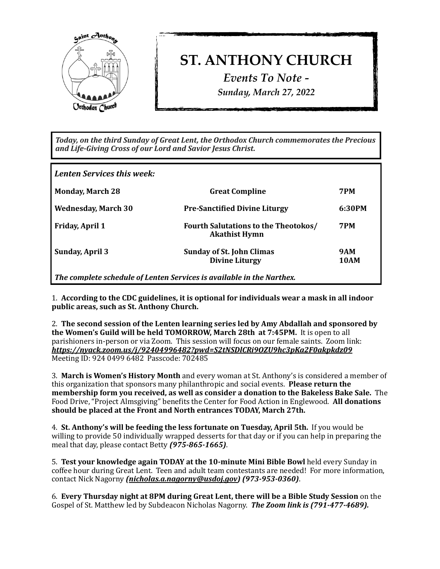

## **ST. ANTHONY CHURCH**

*Events To Note - Sunday, March 27, 2022*

Today, on the third Sunday of Great Lent, the Orthodox Church commemorates the Precious *and Life-Giving Cross of our Lord and Savior Jesus Christ.*

| Lenten Services this week:                                            |                                                                     |                           |
|-----------------------------------------------------------------------|---------------------------------------------------------------------|---------------------------|
| <b>Monday, March 28</b>                                               | <b>Great Compline</b>                                               | <b>7PM</b>                |
| <b>Wednesday, March 30</b>                                            | <b>Pre-Sanctified Divine Liturgy</b>                                | 6:30PM                    |
| <b>Friday, April 1</b>                                                | <b>Fourth Salutations to the Theotokos/</b><br><b>Akathist Hymn</b> | <b>7PM</b>                |
| <b>Sunday, April 3</b>                                                | <b>Sunday of St. John Climas</b><br><b>Divine Liturgy</b>           | <b>9AM</b><br><b>10AM</b> |
| The complete schedule of Lenten Services is available in the Narthex. |                                                                     |                           |

1. According to the CDC guidelines, it is optional for individuals wear a mask in all indoor public areas, such as St. Anthony Church.

2. The second session of the Lenten learning series led by Amy Abdallah and sponsored by **the Women's Guild will be held TOMORROW, March 28th at 7:45PM.** It is open to all parishioners in-person or via Zoom. This session will focus on our female saints. Zoom link: *<https://nyack.zoom.us/j/92404996482?pwd=S2tNSDlCRi9OZU9hc3pKa2F0akpkdz09>* Meeting ID: 924 0499 6482 Passcode: 702485

**3. March is Women's History Month** and every woman at St. Anthony's is considered a member of this organization that sponsors many philanthropic and social events. **Please return the membership form you received, as well as consider a donation to the Bakeless Bake Sale.** The Food Drive, "Project Almsgiving" benefits the Center for Food Action in Englewood. **All donations** should be placed at the Front and North entrances TODAY, March 27th.

4. St. Anthony's will be feeding the less fortunate on Tuesday, April 5th. If you would be willing to provide 50 individually wrapped desserts for that day or if you can help in preparing the meal that day, please contact Betty (975-865-1665).

5. Test your knowledge again TODAY at the 10-minute Mini Bible Bowl held every Sunday in coffee hour during Great Lent. Teen and adult team contestants are needed! For more information, contact Nick Nagorny *[\(nicholas.a.nagorny@usdoj.gov](mailto:nicholas.a.nagorny@usdoj.gov))* (973-953-0360).

6. **Every Thursday night at 8PM during Great Lent, there will be a Bible Study Session** on the Gospel of St. Matthew led by Subdeacon Nicholas Nagorny. **The Zoom link is (791-477-4689).**